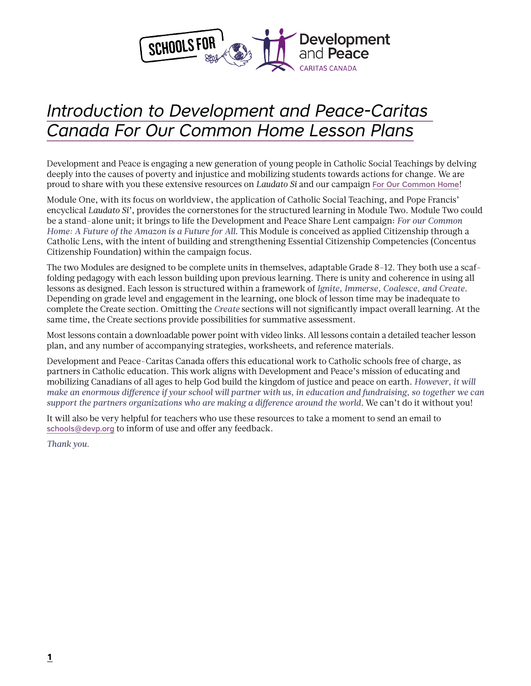

# *Introduction to Development and Peace-Caritas Canada For Our Common Home Lesson Plans*

Development and Peace is engaging a new generation of young people in Catholic Social Teachings by delving deeply into the causes of poverty and injustice and mobilizing students towards actions for change. We are proud to share with you these extensive resources on *Laudato Si* and our campaign [For Our Common Home](https://www.devp.org/en/campaign/forourcommonhome)!

Module One, with its focus on worldview, the application of Catholic Social Teaching, and Pope Francis' encyclical *Laudato Si'*, provides the cornerstones for the structured learning in Module Two. Module Two could be a stand-alone unit; it brings to life the Development and Peace Share Lent campaign: *For our Common Home: A Future of the Amazon is a Future for All*. This Module is conceived as applied Citizenship through a Catholic Lens, with the intent of building and strengthening Essential Citizenship Competencies (Concentus Citizenship Foundation) within the campaign focus.

The two Modules are designed to be complete units in themselves, adaptable Grade 8-12. They both use a scaffolding pedagogy with each lesson building upon previous learning. There is unity and coherence in using all lessons as designed. Each lesson is structured within a framework of *Ignite, Immerse, Coalesce, and Create*. Depending on grade level and engagement in the learning, one block of lesson time may be inadequate to complete the Create section. Omitting the *Create* sections will not significantly impact overall learning. At the same time, the Create sections provide possibilities for summative assessment.

Most lessons contain a downloadable power point with video links. All lessons contain a detailed teacher lesson plan, and any number of accompanying strategies, worksheets, and reference materials.

Development and Peace-Caritas Canada offers this educational work to Catholic schools free of charge, as partners in Catholic education. This work aligns with Development and Peace's mission of educating and mobilizing Canadians of all ages to help God build the kingdom of justice and peace on earth. *However, it will make an enormous difference if your school will partner with us, in education and fundraising, so together we can*  support the partners organizations who are making a difference around the world. We can't do it without you!

It will also be very helpful for teachers who use these resources to take a moment to send an email to [schools@devp.org](mailto:schools%40devp.org?subject=) to inform of use and offer any feedback.

*Thank you.*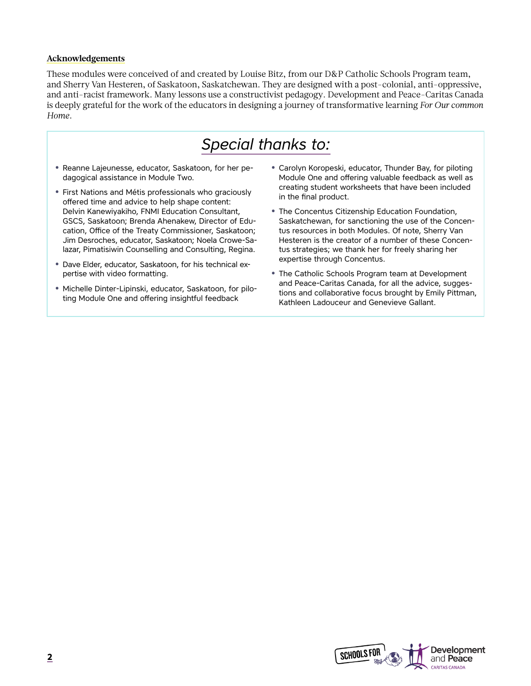#### **Acknowledgements**

These modules were conceived of and created by Louise Bitz, from our D&P Catholic Schools Program team, and Sherry Van Hesteren, of Saskatoon, Saskatchewan. They are designed with a post-colonial, anti-oppressive, and anti-racist framework. Many lessons use a constructivist pedagogy. Development and Peace-Caritas Canada is deeply grateful for the work of the educators in designing a journey of transformative learning *For Our common Home*.

## *Special thanks to:*

- **•** Reanne Lajeunesse, educator, Saskatoon, for her pedagogical assistance in Module Two.
- **•** First Nations and Métis professionals who graciously offered time and advice to help shape content: Delvin Kanewiyakiho, FNMI Education Consultant, GSCS, Saskatoon; Brenda Ahenakew, Director of Education, Office of the Treaty Commissioner, Saskatoon; Jim Desroches, educator, Saskatoon; Noela Crowe-Salazar, Pimatisiwin Counselling and Consulting, Regina.
- **•** Dave Elder, educator, Saskatoon, for his technical expertise with video formatting.
- **•** Michelle Dinter-Lipinski, educator, Saskatoon, for piloting Module One and offering insightful feedback
- **•** Carolyn Koropeski, educator, Thunder Bay, for piloting Module One and offering valuable feedback as well as creating student worksheets that have been included in the final product.
- **•** The Concentus Citizenship Education Foundation, Saskatchewan, for sanctioning the use of the Concentus resources in both Modules. Of note, Sherry Van Hesteren is the creator of a number of these Concentus strategies; we thank her for freely sharing her expertise through Concentus.
- **•** The Catholic Schools Program team at Development and Peace-Caritas Canada, for all the advice, suggestions and collaborative focus brought by Emily Pittman, Kathleen Ladouceur and Genevieve Gallant.